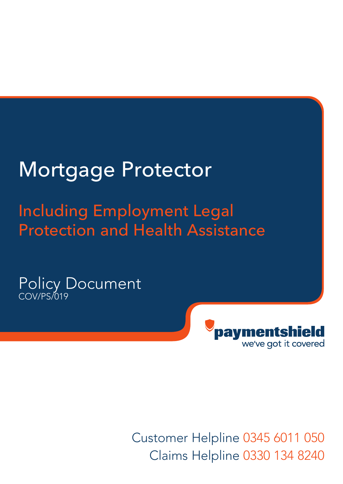# Mortgage Protector

# Including Employment Legal Protection and Health Assistance

Policy Document COV/PS/019



Customer Helpline 0345 6011 050 Claims Helpline 0330 134 8240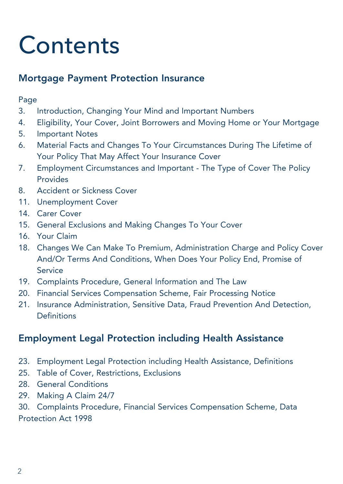# **Contents**

# Mortgage Payment Protection Insurance

### Page

- 3. Introduction, Changing Your Mind and Important Numbers
- 4. Eligibility, Your Cover, Joint Borrowers and Moving Home or Your Mortgage
- 5. Important Notes
- 6. Material Facts and Changes To Your Circumstances During The Lifetime of Your Policy That May Affect Your Insurance Cover
- 7. Employment Circumstances and Important The Type of Cover The Policy Provides
- 8. Accident or Sickness Cover
- 11. Unemployment Cover
- 14. Carer Cover
- 15. General Exclusions and Making Changes To Your Cover
- 16. Your Claim
- 18. Changes We Can Make To Premium, Administration Charge and Policy Cover And/Or Terms And Conditions, When Does Your Policy End, Promise of Service
- 19. Complaints Procedure, General Information and The Law
- 20. Financial Services Compensation Scheme, Fair Processing Notice
- 21. Insurance Administration, Sensitive Data, Fraud Prevention And Detection, **Definitions**

# Employment Legal Protection including Health Assistance

- 23. Employment Legal Protection including Health Assistance, Definitions
- 25. Table of Cover, Restrictions, Exclusions
- 28. General Conditions
- 29. Making A Claim 24/7

30. Complaints Procedure, Financial Services Compensation Scheme, Data Protection Act 1998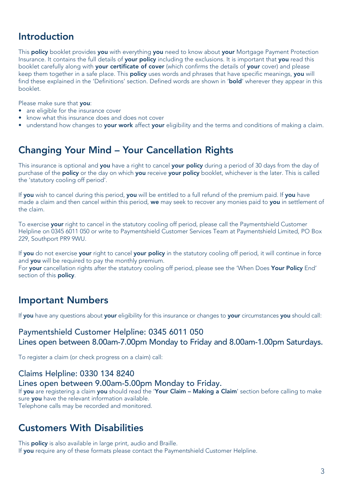# Introduction

This **policy** booklet provides you with everything you need to know about your Mortgage Payment Protection Insurance. It contains the full details of **your policy** including the exclusions. It is important that **you** read this booklet carefully along with your certificate of cover (which confirms the details of your cover) and please keep them together in a safe place. This policy uses words and phrases that have specific meanings, you will find these explained in the 'Definitions' section. Defined words are shown in '**bold'** wherever they appear in this booklet.

Please make sure that you:

- are eligible for the insurance cover
- know what this insurance does and does not cover
- understand how changes to your work affect your eligibility and the terms and conditions of making a claim.

# Changing Your Mind – Your Cancellation Rights

This insurance is optional and you have a right to cancel your policy during a period of 30 days from the day of purchase of the **policy** or the day on which **you** receive your policy booklet, whichever is the later. This is called the 'statutory cooling off period'.

If you wish to cancel during this period, you will be entitled to a full refund of the premium paid. If you have made a claim and then cancel within this period, we may seek to recover any monies paid to you in settlement of the claim.

To exercise your right to cancel in the statutory cooling off period, please call the Paymentshield Customer Helpline on 0345 6011 050 or write to Paymentshield Customer Services Team at Paymentshield Limited, PO Box 229, Southport PR9 9WU.

If you do not exercise your right to cancel your policy in the statutory cooling off period, it will continue in force and you will be required to pay the monthly premium.

For your cancellation rights after the statutory cooling off period, please see the 'When Does Your Policy End' section of this **policy**.

# Important Numbers

If you have any questions about your eligibility for this insurance or changes to your circumstances you should call:

### Paymentshield Customer Helpline: 0345 6011 050 Lines open between 8.00am-7.00pm Monday to Friday and 8.00am-1.00pm Saturdays.

To register a claim (or check progress on a claim) call:

### Claims Helpline: 0330 134 8240

### Lines open between 9.00am-5.00pm Monday to Friday.

If you are registering a claim you should read the 'Your Claim – Making a Claim' section before calling to make sure you have the relevant information available. Telephone calls may be recorded and monitored.

### Customers With Disabilities

This **policy** is also available in large print, audio and Braille. If you require any of these formats please contact the Paymentshield Customer Helpline.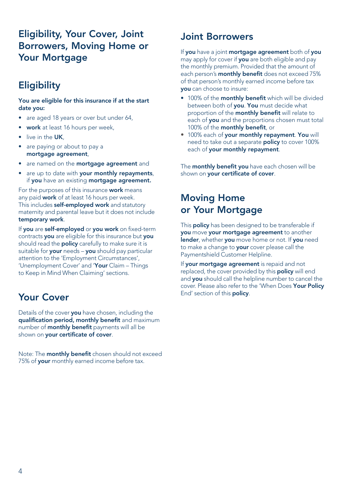# Eligibility, Your Cover, Joint Borrowers, Moving Home or Your Mortgage

# **Eligibility**

### You are eligible for this insurance if at the start date you:

- are aged 18 years or over but under 64,
- work at least 16 hours per week,
- live in the UK.
- are paying or about to pay a mortgage agreement,
- are named on the **mortgage agreement** and
- are up to date with your monthly repayments, if you have an existing mortgage agreement.

For the purposes of this insurance work means any paid work of at least 16 hours per week. This includes self-employed work and statutory maternity and parental leave but it does not include temporary work.

If you are self-employed or you work on fixed-term contracts you are eligible for this insurance but you should read the **policy** carefully to make sure it is suitable for your needs - you should pay particular attention to the 'Employment Circumstances', 'Unemployment Cover' and 'Your Claim - Things to Keep in Mind When Claiming' sections.

# Your Cover

Details of the cover you have chosen, including the qualification period, monthly benefit and maximum number of monthly benefit payments will all be shown on your certificate of cover.

Note: The **monthly benefit** chosen should not exceed 75% of your monthly earned income before tax.

### Joint Borrowers

If you have a joint mortgage agreement both of you may apply for cover if you are both eligible and pay the monthly premium. Provided that the amount of each person's **monthly benefit** does not exceed 75% of that person's monthly earned income before tax you can choose to insure:

- 100% of the monthly benefit which will be divided between both of you. You must decide what proportion of the monthly benefit will relate to each of you and the proportions chosen must total 100% of the monthly benefit, or
- 100% each of your monthly repayment. You will need to take out a separate policy to cover 100% each of your monthly repayment.

The monthly benefit you have each chosen will be shown on your certificate of cover.

# Moving Home or Your Mortgage

This **policy** has been designed to be transferable if you move your mortgage agreement to another lender, whether you move home or not. If you need to make a change to your cover please call the Paymentshield Customer Helpline.

If your mortgage agreement is repaid and not replaced, the cover provided by this **policy** will end and you should call the helpline number to cancel the cover. Please also refer to the 'When Does Your Policy End' section of this policy.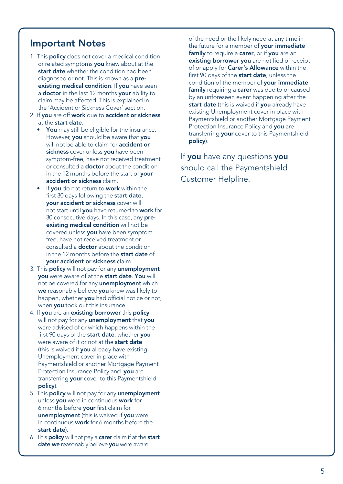## Important Notes

- 1. This **policy** does not cover a medical condition or related symptoms you knew about at the start date whether the condition had been diagnosed or not. This is known as a **pre**existing medical condition. If you have seen a **doctor** in the last 12 months **your** ability to claim may be affected. This is explained in the 'Accident or Sickness Cover' section.
- 2. If you are off work due to accident or sickness at the start date:
	- You may still be eligible for the insurance. However, you should be aware that you will not be able to claim for **accident or** sickness cover unless you have been symptom-free, have not received treatment or consulted a doctor about the condition in the 12 months before the start of your accident or sickness claim.
	- If you do not return to work within the first 30 days following the start date, your accident or sickness cover will not start until you have returned to work for 30 consecutive days. In this case, any preexisting medical condition will not be covered unless you have been symptomfree, have not received treatment or consulted a doctor about the condition in the 12 months before the start date of your accident or sickness claim.
- 3. This **policy** will not pay for any **unemployment** you were aware of at the start date. You will not be covered for any **unemployment** which we reasonably believe you knew was likely to happen, whether **you** had official notice or not. when **you** took out this insurance.
- 4. If you are an existing borrower this policy will not pay for any **unemployment** that you were advised of or which happens within the first 90 days of the start date, whether you were aware of it or not at the **start date** (this is waived if you already have existing Unemployment cover in place with Paymentshield or another Mortgage Payment Protection Insurance Policy and you are transferring your cover to this Paymentshield policy).
- 5. This policy will not pay for any unemployment unless you were in continuous work for 6 months before your first claim for unemployment (this is waived if you were in continuous **work** for 6 months before the start date).
- 6. This policy will not pay a carer claim if at the start date we reasonably believe you were aware

of the need or the likely need at any time in the future for a member of your immediate family to require a carer, or if you are an existing borrower you are notified of receipt of or apply for Carer's Allowance within the first 90 days of the start date, unless the condition of the member of your immediate family requiring a carer was due to or caused by an unforeseen event happening after the start date (this is waived if you already have existing Unemployment cover in place with Paymentshield or another Mortgage Payment Protection Insurance Policy and you are transferring your cover to this Paymentshield policy).

If you have any questions you should call the Paymentshield Customer Helpline.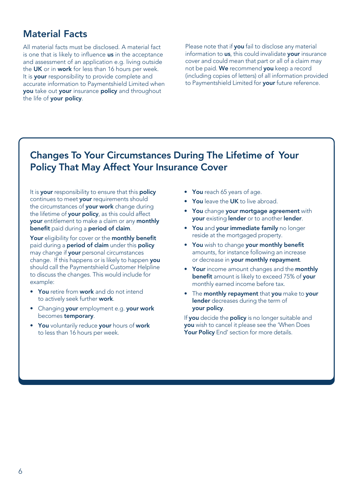### Material Facts

All material facts must be disclosed. A material fact is one that is likely to influence us in the acceptance and assessment of an application e.g. living outside the UK or in work for less than 16 hours per week. It is your responsibility to provide complete and accurate information to Paymentshield Limited when you take out your insurance policy and throughout the life of your policy.

Please note that if you fail to disclose any material information to us, this could invalidate your insurance cover and could mean that part or all of a claim may not be paid. We recommend you keep a record (including copies of letters) of all information provided to Paymentshield Limited for your future reference.

# Changes To Your Circumstances During The Lifetime of Your Policy That May Affect Your Insurance Cover

It is your responsibility to ensure that this policy continues to meet **your** requirements should the circumstances of your work change during the lifetime of your policy, as this could affect your entitlement to make a claim or any monthly benefit paid during a period of claim.

Your eligibility for cover or the monthly benefit paid during a **period of claim** under this **policy** may change if your personal circumstances change. If this happens or is likely to happen you should call the Paymentshield Customer Helpline to discuss the changes. This would include for example:

- You retire from work and do not intend to actively seek further work.
- Changing your employment e.g. your work becomes temporary.
- You voluntarily reduce your hours of work to less than 16 hours per week.
- You reach 65 years of age.
- You leave the UK to live abroad.
- You change your mortgage agreement with your existing lender or to another lender.
- You and your immediate family no longer reside at the mortgaged property.
- You wish to change your monthly benefit amounts, for instance following an increase or decrease in **your monthly repayment**.
- Your income amount changes and the monthly benefit amount is likely to exceed 75% of your monthly earned income before tax.
- The monthly repayment that you make to your lender decreases during the term of your policy.

If you decide the policy is no longer suitable and you wish to cancel it please see the 'When Does Your Policy End' section for more details.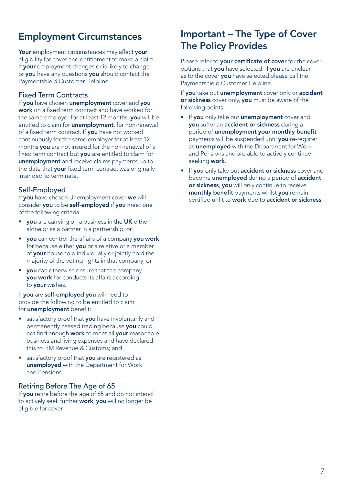# Employment Circumstances

Your employment circumstances may affect your eligibility for cover and entitlement to make a claim. If your employment changes or is likely to change or you have any questions you should contact the Paymentshield Customer Helpline.

### Fixed Term Contracts

If you have chosen unemployment cover and you work on a fixed term contract and have worked for the same employer for at least 12 months, you will be entitled to claim for **unemployment**, for non-renewal of a fixed term contract. If you have not worked continuously for the same employer for at least 12 months you are not insured for the non-renewal of a fixed term contract but you are entitled to claim for unemployment and receive claims payments up to the date that your fixed term contract was originally intended to terminate.

### Self-Employed

If you have chosen Unemployment cover we will consider you to be self-employed if you meet one of the following criteria:

- vou are carrying on a business in the UK either alone or as a partner in a partnership; or
- you can control the affairs of a company you work for because either you or a relative or a member of your household individually or jointly hold the majority of the voting rights in that company; or
- you can otherwise ensure that the company you work for conducts its affairs according to your wishes.

If you are self-employed you will need to provide the following to be entitled to claim for unemployment benefit:

- satisfactory proof that you have involuntarily and permanently ceased trading because you could not find enough work to meet all vour reasonable business and living expenses and have declared this to HM Revenue & Customs; and
- satisfactory proof that **you** are registered as unemployed with the Department for Work and Pensions.

### Retiring Before The Age of 65

If you retire before the age of 65 and do not intend to actively seek further work, you will no longer be eligible for cover.

# Important – The Type of Cover The Policy Provides

Please refer to your certificate of cover for the cover options that you have selected. If you are unclear as to the cover you have selected please call the Paymentshield Customer Helpline.

If you take out unemployment cover only or accident or sickness cover only, you must be aware of the following points:

- If you only take out unemployment cover and you suffer an accident or sickness during a period of unemployment your monthly benefit payments will be suspended until you re-register as unemployed with the Department for Work and Pensions and are able to actively continue seeking work.
- If you only take out accident or sickness cover and become **unemployed** during a period of **accident** or sickness, you will only continue to receive monthly benefit payments whilst you remain certified unfit to work due to accident or sickness.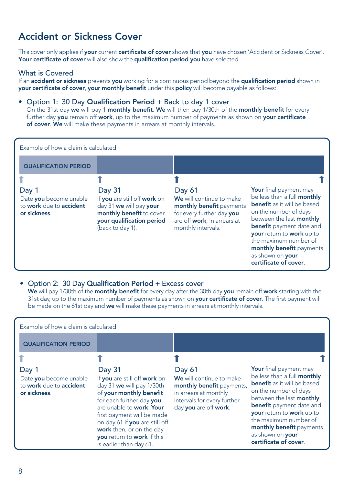# Accident or Sickness Cover

This cover only applies if your current certificate of cover shows that you have chosen 'Accident or Sickness Cover'. Your certificate of cover will also show the qualification period you have selected.

### What is Covered

If an accident or sickness prevents you working for a continuous period beyond the qualification period shown in your certificate of cover, your monthly benefit under this policy will become payable as follows:

### • Option 1: 30 Day Qualification Period + Back to day 1 cover

On the 31st day we will pay 1 monthly benefit. We will then pay 1/30th of the monthly benefit for every further day you remain off work, up to the maximum number of payments as shown on your certificate of cover. We will make these payments in arrears at monthly intervals.

| Example of how a claim is calculated                                       |                                                                                                                                                |                                                                                                                                                  |                                                                                                                                                                                                                                                                                                             |
|----------------------------------------------------------------------------|------------------------------------------------------------------------------------------------------------------------------------------------|--------------------------------------------------------------------------------------------------------------------------------------------------|-------------------------------------------------------------------------------------------------------------------------------------------------------------------------------------------------------------------------------------------------------------------------------------------------------------|
| <b>QUALIFICATION PERIOD</b>                                                |                                                                                                                                                |                                                                                                                                                  |                                                                                                                                                                                                                                                                                                             |
|                                                                            |                                                                                                                                                |                                                                                                                                                  |                                                                                                                                                                                                                                                                                                             |
| Day 1<br>Date you become unable<br>to work due to accident<br>or sickness. | Day 31<br>If you are still off work on<br>day 31 we will pay your<br>monthly benefit to cover<br>your qualification period<br>(back to day 1). | Day 61<br>We will continue to make<br>monthly benefit payments<br>for every further day you<br>are off work, in arrears at<br>monthly intervals. | Your final payment may<br>be less than a full monthly<br><b>benefit</b> as it will be based<br>on the number of days<br>between the last monthly<br>benefit payment date and<br>your return to work up to<br>the maximum number of<br>monthly benefit payments<br>as shown on your<br>certificate of cover. |

### • Option 2: 30 Day Qualification Period + Excess cover

We will pay 1/30th of the monthly benefit for every day after the 30th day you remain off work starting with the 31st day, up to the maximum number of payments as shown on **your certificate of cover**. The first payment will be made on the 61st day and we will make these payments in arrears at monthly intervals.

Example of how a claim is calculated

| <b>Your</b> final payment may<br>Day 31<br>Day 61<br>Day 1<br>be less than a full <b>monthly</b><br>We will continue to make<br>If you are still off work on<br>Date you become unable<br><b>benefit</b> as it will be based<br>to work due to accident<br>day 31 we will pay 1/30th<br>monthly benefit payments,<br>on the number of days<br>of your monthly benefit<br>in arrears at monthly<br>or sickness.<br>between the last monthly<br>for each further day you<br>intervals for every further<br><b>benefit</b> payment date and<br>are unable to work. Your<br>day you are off work.<br>your return to work up to<br>first payment will be made<br>the maximum number of<br>on day 61 if you are still off<br>work then, or on the day<br>as shown on your<br>you return to work if this<br>certificate of cover. | <b>QUALIFICATION PERIOD</b> |                         |                          |
|----------------------------------------------------------------------------------------------------------------------------------------------------------------------------------------------------------------------------------------------------------------------------------------------------------------------------------------------------------------------------------------------------------------------------------------------------------------------------------------------------------------------------------------------------------------------------------------------------------------------------------------------------------------------------------------------------------------------------------------------------------------------------------------------------------------------------|-----------------------------|-------------------------|--------------------------|
|                                                                                                                                                                                                                                                                                                                                                                                                                                                                                                                                                                                                                                                                                                                                                                                                                            |                             | is earlier than day 61. | monthly benefit payments |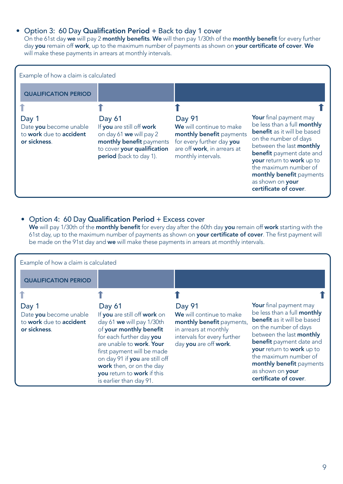### • Option 3: 60 Day Qualification Period + Back to day 1 cover

On the 61st day we will pay 2 monthly benefits. We will then pay 1/30th of the monthly benefit for every further day you remain off work, up to the maximum number of payments as shown on your certificate of cover. We will make these payments in arrears at monthly intervals.



### • Option 4: 60 Day Qualification Period + Excess cover

We will pay 1/30th of the monthly benefit for every day after the 60th day you remain off work starting with the 61st day, up to the maximum number of payments as shown on your certificate of cover. The first payment will be made on the 91st day and we will make these payments in arrears at monthly intervals.

| Example of how a claim is calculated                                       |                                                                                                                                                                                                                                                                                                             |                                                                                                                                                  |                                                                                                                                                                                                                                                                                                                    |
|----------------------------------------------------------------------------|-------------------------------------------------------------------------------------------------------------------------------------------------------------------------------------------------------------------------------------------------------------------------------------------------------------|--------------------------------------------------------------------------------------------------------------------------------------------------|--------------------------------------------------------------------------------------------------------------------------------------------------------------------------------------------------------------------------------------------------------------------------------------------------------------------|
| <b>QUALIFICATION PERIOD</b>                                                |                                                                                                                                                                                                                                                                                                             |                                                                                                                                                  |                                                                                                                                                                                                                                                                                                                    |
|                                                                            |                                                                                                                                                                                                                                                                                                             |                                                                                                                                                  |                                                                                                                                                                                                                                                                                                                    |
| Day 1<br>Date you become unable<br>to work due to accident<br>or sickness. | Day 61<br>If you are still off work on<br>day 61 we will pay 1/30th<br>of your monthly benefit<br>for each further day you<br>are unable to work. Your<br>first payment will be made<br>on day 91 if you are still off<br>work then, or on the day<br>you return to work if this<br>is earlier than day 91. | Day 91<br>We will continue to make<br>monthly benefit payments,<br>in arrears at monthly<br>intervals for every further<br>day you are off work. | Your final payment may<br>be less than a full monthly<br><b>benefit</b> as it will be based<br>on the number of days<br>between the last monthly<br><b>benefit</b> payment date and<br>your return to work up to<br>the maximum number of<br>monthly benefit payments<br>as shown on your<br>certificate of cover. |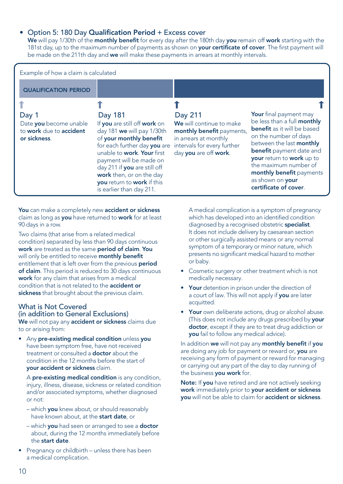### • Option 5: 180 Day Qualification Period + Excess cover

We will pay 1/30th of the monthly benefit for every day after the 180th day you remain off work starting with the 181st day, up to the maximum number of payments as shown on **your certificate of cover**. The first payment will be made on the 211th day and we will make these payments in arrears at monthly intervals.

| Example of how a claim is calculated                                       |                                                                                                                                                                                                                                                                                                                 |                                                                                                                                                   |                                                                                                                                                                                                                                                                                                             |
|----------------------------------------------------------------------------|-----------------------------------------------------------------------------------------------------------------------------------------------------------------------------------------------------------------------------------------------------------------------------------------------------------------|---------------------------------------------------------------------------------------------------------------------------------------------------|-------------------------------------------------------------------------------------------------------------------------------------------------------------------------------------------------------------------------------------------------------------------------------------------------------------|
| <b>QUALIFICATION PERIOD</b>                                                |                                                                                                                                                                                                                                                                                                                 |                                                                                                                                                   |                                                                                                                                                                                                                                                                                                             |
|                                                                            |                                                                                                                                                                                                                                                                                                                 |                                                                                                                                                   |                                                                                                                                                                                                                                                                                                             |
| Day 1<br>Date you become unable<br>to work due to accident<br>or sickness. | Day 181<br>If you are still off work on<br>day 181 we will pay 1/30th<br>of your monthly benefit<br>for each further day you are<br>unable to work. Your first<br>payment will be made on<br>day 211 if you are still off<br>work then, or on the day<br>you return to work if this<br>is earlier than day 211. | Day 211<br>We will continue to make<br>monthly benefit payments,<br>in arrears at monthly<br>intervals for every further<br>day you are off work. | Your final payment may<br>be less than a full monthly<br><b>benefit</b> as it will be based<br>on the number of days<br>between the last monthly<br>benefit payment date and<br>your return to work up to<br>the maximum number of<br>monthly benefit payments<br>as shown on your<br>certificate of cover. |

You can make a completely new accident or sickness claim as long as you have returned to work for at least 90 days in a row.

Two claims (that arise from a related medical condition) separated by less than 90 days continuous work are treated as the same period of claim. You will only be entitled to receive monthly benefit entitlement that is left over from the previous period of claim. This period is reduced to 30 days continuous work for any claim that arises from a medical condition that is not related to the accident or sickness that brought about the previous claim.

### What is Not Covered (in addition to General Exclusions)

We will not pay any accident or sickness claims due to or arising from:

• Any pre-existing medical condition unless you have been symptom free, have not received treatment or consulted a doctor about the condition in the 12 months before the start of your accident or sickness claim.

A pre-existing medical condition is any condition, injury, illness, disease, sickness or related condition and/or associated symptoms, whether diagnosed or not:

- which you knew about, or should reasonably have known about, at the start date, or
- which you had seen or arranged to see a doctor about, during the 12 months immediately before the start date.
- Pregnancy or childbirth unless there has been a medical complication.

A medical complication is a symptom of pregnancy which has developed into an identified condition diagnosed by a recognised obstetric specialist. It does not include delivery by caesarean section or other surgically assisted means or any normal symptom of a temporary or minor nature, which presents no significant medical hazard to mother or baby.

- Cosmetic surgery or other treatment which is not medically necessary.
- Your detention in prison under the direction of a court of law. This will not apply if you are later acquitted.
- Your own deliberate actions, drug or alcohol abuse. (This does not include any drugs prescribed by **your**) doctor, except if they are to treat drug addiction or you fail to follow any medical advice).

In addition we will not pay any monthly benefit if you are doing any job for payment or reward or, you are receiving any form of payment or reward for managing or carrying out any part of the day to day running of the business you work for.

Note: If you have retired and are not actively seeking work immediately prior to your accident or sickness you will not be able to claim for accident or sickness.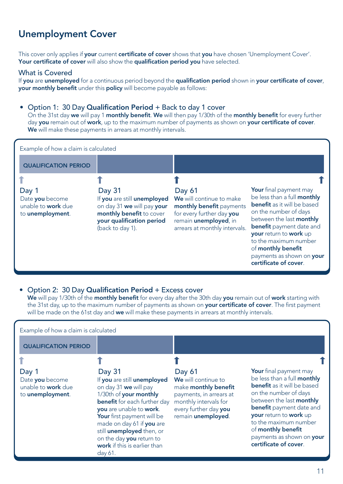# Unemployment Cover

This cover only applies if your current certificate of cover shows that you have chosen 'Unemployment Cover'. Your certificate of cover will also show the qualification period you have selected.

### What is Covered

If you are unemployed for a continuous period beyond the qualification period shown in your certificate of cover, your monthly benefit under this policy will become payable as follows:

### • Option 1: 30 Day Qualification Period + Back to day 1 cover

On the 31st day we will pay 1 monthly benefit. We will then pay 1/30th of the monthly benefit for every further day you remain out of work, up to the maximum number of payments as shown on your certificate of cover. We will make these payments in arrears at monthly intervals.

| Example of how a claim is calculated                                      |                                                                                                                                                  |                                                                                                                                                               |                                                                                                                                                                                                                                                                                                                    |
|---------------------------------------------------------------------------|--------------------------------------------------------------------------------------------------------------------------------------------------|---------------------------------------------------------------------------------------------------------------------------------------------------------------|--------------------------------------------------------------------------------------------------------------------------------------------------------------------------------------------------------------------------------------------------------------------------------------------------------------------|
| <b>QUALIFICATION PERIOD</b>                                               |                                                                                                                                                  |                                                                                                                                                               |                                                                                                                                                                                                                                                                                                                    |
|                                                                           |                                                                                                                                                  |                                                                                                                                                               |                                                                                                                                                                                                                                                                                                                    |
| Day 1<br>Date you become<br>unable to <b>work</b> due<br>to unemployment. | Day 31<br>If you are still unemployed<br>on day 31 we will pay your<br>monthly benefit to cover<br>your qualification period<br>(back to day 1). | Day 61<br>We will continue to make<br>monthly benefit payments<br>for every further day you<br>remain <i>unemployed</i> , in<br>arrears at monthly intervals. | Your final payment may<br>be less than a full monthly<br><b>benefit</b> as it will be based<br>on the number of days<br>between the last monthly<br><b>benefit</b> payment date and<br>your return to work up<br>to the maximum number<br>of monthly benefit<br>payments as shown on your<br>certificate of cover. |

### • Option 2: 30 Day Qualification Period + Excess cover

We will pay 1/30th of the monthly benefit for every day after the 30th day you remain out of work starting with the 31st day, up to the maximum number of payments as shown on your certificate of cover. The first payment will be made on the 61st day and we will make these payments in arrears at monthly intervals.

Example of how a claim is calculated

| <b>QUALIFICATION PERIOD</b>                                               |                                                                                                                                                                                                                                                                                                                           |                                                                                                                                                                 |                                                                                                                                                                                                                                                                                                                    |
|---------------------------------------------------------------------------|---------------------------------------------------------------------------------------------------------------------------------------------------------------------------------------------------------------------------------------------------------------------------------------------------------------------------|-----------------------------------------------------------------------------------------------------------------------------------------------------------------|--------------------------------------------------------------------------------------------------------------------------------------------------------------------------------------------------------------------------------------------------------------------------------------------------------------------|
|                                                                           |                                                                                                                                                                                                                                                                                                                           |                                                                                                                                                                 |                                                                                                                                                                                                                                                                                                                    |
| Day 1<br>Date you become<br>unable to <b>work</b> due<br>to unemployment. | Day 31<br>If you are still unemployed<br>on day 31 we will pay<br>1/30th of your monthly<br><b>benefit</b> for each further day<br>you are unable to work.<br>Your first payment will be<br>made on day 61 if you are<br>still unemployed then, or<br>on the day you return to<br>work if this is earlier than<br>day 61. | Day 61<br>We will continue to<br>make <b>monthly benefit</b><br>payments, in arrears at<br>monthly intervals for<br>every further day you<br>remain unemployed. | Your final payment may<br>be less than a full monthly<br><b>benefit</b> as it will be based<br>on the number of days<br>between the last monthly<br><b>benefit</b> payment date and<br>your return to work up<br>to the maximum number<br>of monthly benefit<br>payments as shown on your<br>certificate of cover. |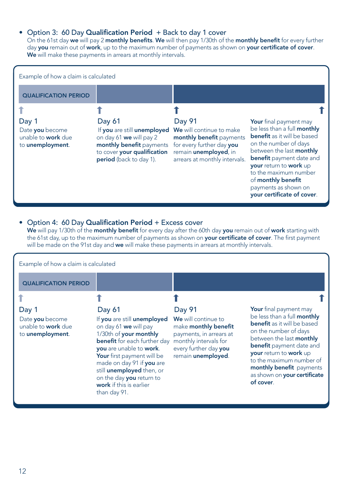### • Option 3: 60 Day Qualification Period + Back to day 1 cover

On the 61st day we will pay 2 monthly benefits. We will then pay 1/30th of the monthly benefit for every further day you remain out of work, up to the maximum number of payments as shown on your certificate of cover. We will make these payments in arrears at monthly intervals.



### • Option 4: 60 Day Qualification Period + Excess cover

We will pay 1/30th of the **monthly benefit** for every day after the 60th day you remain out of work starting with the 61st day, up to the maximum number of payments as shown on your certificate of cover. The first payment will be made on the 91st day and we will make these payments in arrears at monthly intervals.

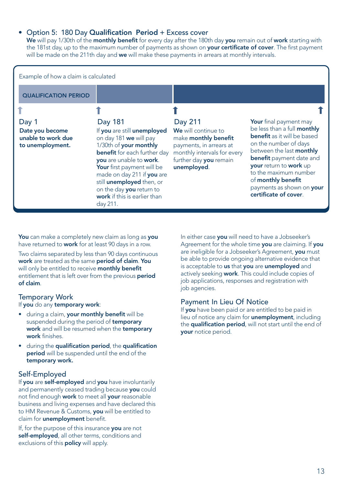### • Option 5: 180 Day Qualification Period + Excess cover

We will pay 1/30th of the monthly benefit for every day after the 180th day you remain out of work starting with the 181st day, up to the maximum number of payments as shown on your certificate of cover. The first payment will be made on the 211th day and we will make these payments in arrears at monthly intervals.

| Example of how a claim is calculated                               |                                                                                                                                                                                                                                                                                                                               |                                                                                                                                                           |                                                                                                                                                                                                                                                                                                                                  |
|--------------------------------------------------------------------|-------------------------------------------------------------------------------------------------------------------------------------------------------------------------------------------------------------------------------------------------------------------------------------------------------------------------------|-----------------------------------------------------------------------------------------------------------------------------------------------------------|----------------------------------------------------------------------------------------------------------------------------------------------------------------------------------------------------------------------------------------------------------------------------------------------------------------------------------|
| <b>QUALIFICATION PERIOD</b>                                        |                                                                                                                                                                                                                                                                                                                               |                                                                                                                                                           |                                                                                                                                                                                                                                                                                                                                  |
|                                                                    |                                                                                                                                                                                                                                                                                                                               |                                                                                                                                                           |                                                                                                                                                                                                                                                                                                                                  |
| Day 1<br>Date you become<br>unable to work due<br>to unemployment. | Day 181<br>If you are still unemployed<br>on day 181 we will pay<br>1/30th of your monthly<br><b>benefit</b> for each further day<br>you are unable to work.<br>Your first payment will be<br>made on day 211 if you are<br>still unemployed then, or<br>on the day you return to<br>work if this is earlier than<br>day 211. | Day 211<br>We will continue to<br>make monthly benefit<br>payments, in arrears at<br>monthly intervals for every<br>further day you remain<br>unemployed. | <b>Your</b> final payment may<br>be less than a full <b>monthly</b><br><b>benefit</b> as it will be based<br>on the number of days<br>between the last monthly<br><b>benefit</b> payment date and<br>your return to work up<br>to the maximum number<br>of monthly benefit<br>payments as shown on your<br>certificate of cover. |

You can make a completely new claim as long as you have returned to work for at least 90 days in a row.

Two claims separated by less than 90 days continuous work are treated as the same period of claim. You will only be entitled to receive monthly benefit entitlement that is left over from the previous **period** of claim.

### Temporary Work

If you do any temporary work:

- during a claim, your monthly benefit will be suspended during the period of **temporary** work and will be resumed when the temporary work finishes.
- during the qualification period, the qualification period will be suspended until the end of the temporary work.

### Self-Employed

If you are self-employed and you have involuntarily and permanently ceased trading because you could not find enough work to meet all your reasonable business and living expenses and have declared this to HM Revenue & Customs, you will be entitled to claim for unemployment benefit.

If, for the purpose of this insurance you are not self-employed, all other terms, conditions and exclusions of this **policy** will apply.

In either case you will need to have a Jobseeker's Agreement for the whole time you are claiming. If you are ineligible for a Jobseeker's Agreement, you must be able to provide ongoing alternative evidence that is acceptable to us that you are unemployed and actively seeking **work**. This could include copies of job applications, responses and registration with job agencies.

### Payment In Lieu Of Notice

If you have been paid or are entitled to be paid in lieu of notice any claim for unemployment, including the qualification period, will not start until the end of your notice period.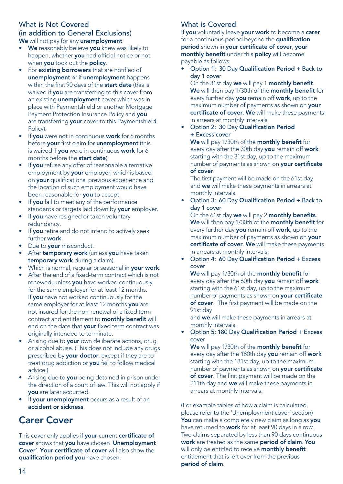### What is Not Covered

### (in addition to General Exclusions) We will not pay for any unemployment:

- We reasonably believe you knew was likely to happen, whether you had official notice or not, when you took out the policy.
- For existing borrowers that are notified of unemployment or if unemployment happens within the first 90 days of the start date (this is waived if you are transferring to this cover from an existing unemployment cover which was in place with Paymentshield or another Mortgage Payment Protection Insurance Policy and you are transferring your cover to this Paymentshield Policy).
- If you were not in continuous work for 6 months before your first claim for unemployment (this is waived if you were in continuous work for 6 months before the start date).
- If you refuse any offer of reasonable alternative employment by your employer, which is based on your qualifications, previous experience and the location of such employment would have been reasonable for you to accept.
- If you fail to meet any of the performance standards or targets laid down by your employer.
- If you have resigned or taken voluntary redundancy.
- If you retire and do not intend to actively seek further work.
- Due to your misconduct.
- After temporary work (unless you have taken temporary work during a claim).
- Which is normal, regular or seasonal in your work.
- After the end of a fixed-term contract which is not renewed, unless you have worked continuously for the same employer for at least 12 months. If you have not worked continuously for the same employer for at least 12 months you are not insured for the non-renewal of a fixed term contract and entitlement to monthly benefit will end on the date that your fixed term contract was originally intended to terminate.
- Arising due to your own deliberate actions, drug or alcohol abuse. (This does not include any drugs prescribed by your doctor, except if they are to treat drug addiction or you fail to follow medical advice.)
- Arising due to **you** being detained in prison under the direction of a court of law. This will not apply if you are later acquitted.
- If your unemployment occurs as a result of an accident or sickness.

# Carer Cover

This cover only applies if your current certificate of cover shows that you have chosen 'Unemployment Cover'. Your certificate of cover will also show the qualification period you have chosen.

### What is Covered

If you voluntarily leave your work to become a carer for a continuous period beyond the qualification period shown in your certificate of cover, your monthly benefit under this policy will become payable as follows:

• Option 1: 30 Day Qualification Period + Back to day 1 cover

On the 31st day we will pay 1 monthly benefit. We will then pay 1/30th of the monthly benefit for every further day you remain off work, up to the maximum number of payments as shown on your certificate of cover. We will make these payments in arrears at monthly intervals.

• Option 2: 30 Day Qualification Period + Excess cover

We will pay 1/30th of the monthly benefit for every day after the 30th day you remain off work starting with the 31st day, up to the maximum number of payments as shown on your certificate of cover.

The first payment will be made on the 61st day and we will make these payments in arrears at monthly intervals.

• Option 3: 60 Day Qualification Period + Back to day 1 cover

On the 61st day we will pay 2 monthly benefits. We will then pay 1/30th of the monthly benefit for every further day you remain off work, up to the maximum number of payments as shown on your certificate of cover. We will make these payments in arrears at monthly intervals.

• Option 4: 60 Day Qualification Period + Excess cover

We will pay 1/30th of the monthly benefit for every day after the 60th day **you** remain off work starting with the 61st day, up to the maximum number of payments as shown on your certificate of cover. The first payment will be made on the 91st day

and we will make these payments in arrears at monthly intervals.

• Option 5: 180 Day Qualification Period + Excess cover

We will pay 1/30th of the monthly benefit for every day after the 180th day you remain off work starting with the 181st day, up to the maximum number of payments as shown on your certificate of cover. The first payment will be made on the 211th day and we will make these payments in arrears at monthly intervals.

(For example tables of how a claim is calculated, please refer to the 'Unemployment cover' section) You can make a completely new claim as long as you have returned to **work** for at least 90 days in a row. Two claims separated by less than 90 days continuous work are treated as the same period of claim. You will only be entitled to receive **monthly benefit** entitlement that is left over from the previous period of claim.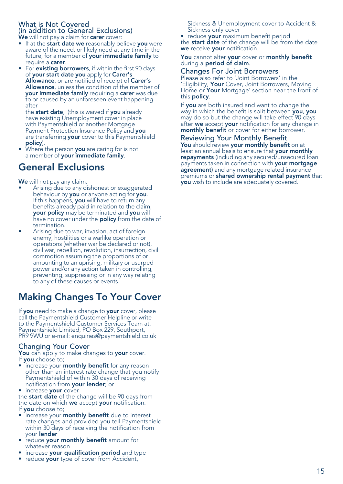### What is Not Covered (in addition to General Exclusions) We will not pay a claim for carer cover:

- If at the start date we reasonably believe you were aware of the need, or likely need at any time in the future, for a member of **your immediate family** to require a carer.
- For **existing borrowers**, if within the first 90 days of your start date you apply for Carer's Allowance, or are notified of receipt of Carer's Allowance, unless the condition of the member of **vour immediate family** requiring a **carer** was due to or caused by an unforeseen event happening after

the start date, (this is waived if you already have existing Unemployment cover in place with Paymentshield or another Mortgage Payment Protection Insurance Policy and you are transferring your cover to this Paymentshield policy).

Where the person you are caring for is not a member of your immediate family.

# General Exclusions

We will not pay any claim:

- Arising due to any dishonest or exaggerated behaviour by you or anyone acting for you. If this happens, you will have to return any benefits already paid in relation to the claim, your policy may be terminated and you will have no cover under the **policy** from the date of termination.
- Arising due to war, invasion, act of foreign enemy, hostilities or a warlike operation or operations (whether war be declared or not), civil war, rebellion, revolution, insurrection, civil commotion assuming the proportions of or amounting to an uprising, military or usurped power and/or any action taken in controlling, preventing, suppressing or in any way relating to any of these causes or events.

# Making Changes To Your Cover

If you need to make a change to your cover, please call the Paymentshield Customer Helpline or write to the Paymentshield Customer Services Team at: Paymentshield Limited, PO Box 229, Southport, PR9 9WU or e-mail: enquiries@paymentshield.co.uk

### Changing Your Cover

You can apply to make changes to your cover. If you choose to;

- increase your **monthly benefit** for any reason other than an interest rate change that you notify Paymentshield of within 30 days of receiving notification from your lender; or
- increase your cover.

the start date of the change will be 90 days from the date on which we accept vour notification. If **vou** choose to:

- increase your **monthly benefit** due to interest rate changes and provided you tell Paymentshield within 30 days of receiving the notification from your lender
- reduce your monthly benefit amount for whatever reason
- increase your qualification period and type
- reduce your type of cover from Accident,

Sickness & Unemployment cover to Accident & Sickness only cover

• reduce your maximum benefit period the start date of the change will be from the date we receive your notification.

### You cannot alter your cover or monthly benefit during a **period** of claim.

### Changes For Joint Borrowers

Please also refer to 'Joint Borrowers' in the 'Eligibility, Your Cover, Joint Borrowers, Moving Home or Your Mortgage' section near the front of this policy.

If you are both insured and want to change the way in which the benefit is split between you, you may do so but the change will take effect 90 days after we accept your notification for any change in monthly benefit or cover for either borrower.

### Reviewing Your Monthly Benefit

You should review your monthly benefit on at least an annual basis to ensure that your monthly repayments (including any secured/unsecured loan payments taken in connection with your mortgage agreement) and any mortgage related insurance premiums or shared ownership rental payment that you wish to include are adequately covered.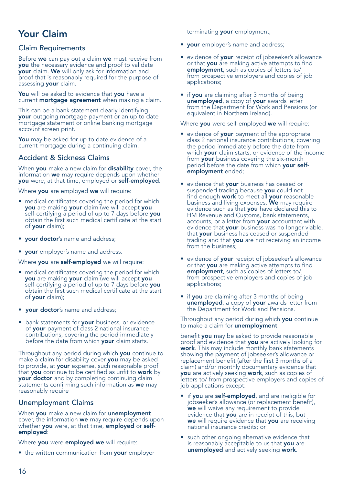# Your Claim

### Claim Requirements

Before we can pay out a claim we must receive from you the necessary evidence and proof to validate your claim. We will only ask for information and proof that is reasonably required for the purpose of assessing your claim.

You will be asked to evidence that you have a current **mortgage agreement** when making a claim.

This can be a bank statement clearly identifying your outgoing mortgage payment or an up to date mortgage statement or online banking mortgage account screen print.

You may be asked for up to date evidence of a current mortgage during a continuing claim.

### Accident & Sickness Claims

When you make a new claim for disability cover, the information we may require depends upon whether you were, at that time, employed or self-employed.

Where you are employed we will require:

- medical certificates covering the period for which you are making your claim (we will accept you self-certifying a period of up to 7 days before you obtain the first such medical certificate at the start of your claim);
- vour doctor's name and address:
- **vour** employer's name and address.

Where you are self-employed we will require:

- medical certificates covering the period for which you are making your claim (we will accept you self-certifying a period of up to 7 days before you obtain the first such medical certificate at the start of your claim);
- your doctor's name and address;
- bank statements for your business, or evidence of your payment of class 2 national insurance contributions, covering the period immediately before the date from which your claim starts.

Throughout any period during which you continue to make a claim for disability cover you may be asked to provide, at your expense, such reasonable proof that you continue to be certified as unfit to work by your doctor and by completing continuing claim statements confirming such information as we may reasonably require

### Unemployment Claims

When you make a new claim for unemployment cover, the information we may require depends upon whether you were, at that time, employed or selfemployed:

Where you were employed we will require:

• the written communication from your employer

terminating **your** employment:

- **vour** employer's name and address:
- evidence of your receipt of jobseeker's allowance or that you are making active attempts to find employment, such as copies of letters to/ from prospective employers and copies of job applications;
- if you are claiming after 3 months of being unemployed, a copy of your awards letter from the Department for Work and Pensions (or equivalent in Northern Ireland).

Where **vou** were self-employed we will require:

- evidence of your payment of the appropriate class 2 national insurance contributions, covering the period immediately before the date from which **your** claim starts, or evidence of the income from your business covering the six-month period before the date from which your selfemployment ended;
- evidence that your business has ceased or suspended trading because **vou** could not find enough **work** to meet all **your** reasonable<br>business and living expenses. **We** may require evidence such as that you have declared this to HM Revenue and Customs, bank statements, accounts, or a letter from your accountant with evidence that your business was no longer viable, that **your** business has ceased or suspended trading and that you are not receiving an income from the business;
- evidence of your receipt of jobseeker's allowance or that you are making active attempts to find employment, such as copies of letters to/ from prospective employers and copies of job applications;
- if you are claiming after 3 months of being unemployed, a copy of your awards letter from the Department for Work and Pensions.

Throughout any period during which **you** continue<br>to make a claim for **unemployment** 

benefit you may be asked to provide reasonable proof and evidence that **you** are actively looking for work. This may include monthly bank statements showing the payment of jobseeker's allowance or replacement benefit (after the first 3 months of a claim) and/or monthly documentary evidence that you are actively seeking work, such as copies of letters to/ from prospective employers and copies of job applications except:

- if you are self-employed, and are ineligible for jobseeker's allowance (or replacement benefit), we will waive any requirement to provide evidence that you are in receipt of this, but we will require evidence that you are receiving national insurance credits; or
- such other ongoing alternative evidence that is reasonably acceptable to us that you are unemployed and actively seeking work.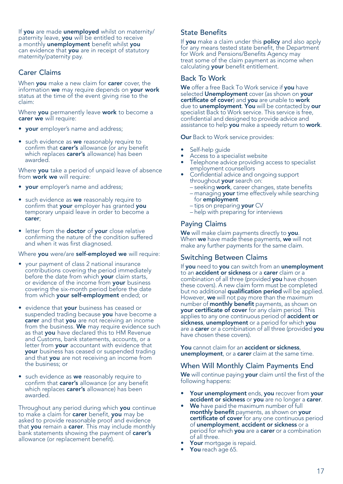If you are made unemployed whilst on maternity/ paternity leave, you will be entitled to receive a monthly unemployment benefit whilst you can evidence that you are in receipt of statutory maternity/paternity pay.

### Carer Claims

When you make a new claim for carer cover, the information we may require depends on your work status at the time of the event giving rise to the claim:

Where you permanently leave work to become a carer we will require:

- your employer's name and address;
- such evidence as we reasonably require to confirm that carer's allowance (or any benefit which replaces carer's allowance) has been awarded.

Where **you** take a period of unpaid leave of absence from work we will require:

- **your** employer's name and address;
- such evidence as we reasonably require to confirm that your employer has granted you temporary unpaid leave in order to become a carer;
- letter from the doctor of your close relative confirming the nature of the condition suffered and when it was first diagnosed.

### Where you were/are self-employed we will require:

- your payment of class 2 national insurance contributions covering the period immediately before the date from which your claim starts, or evidence of the income from your business covering the six-month period before the date from which your self-employment ended; or
- evidence that your business has ceased or suspended trading because you have become a carer and that you are not receiving an income from the business. We may require evidence such as that you have declared this to HM Revenue and Customs, bank statements, accounts, or a letter from your accountant with evidence that your business has ceased or suspended trading and that **you** are not receiving an income from the business; or
- such evidence as we reasonably require to confirm that carer's allowance (or any benefit which replaces **carer's** allowance) has been awarded.

Throughout any period during which you continue to make a claim for **carer** benefit, you may be asked to provide reasonable proof and evidence that you remain a carer. This may include monthly bank statements showing the payment of carer's allowance (or replacement benefit).

### State Benefits

If you make a claim under this policy and also apply for any means tested state benefit, the Department for Work and Pensions/Benefits Agency may treat some of the claim payment as income when calculating **your** benefit entitlement.

### Back To Work

We offer a free Back To Work service if you have selected Unemployment cover (as shown on your certificate of cover) and you are unable to work due to unemployment. You will be contacted by our specialist Back to Work service. This service is free, confidential and designed to provide advice and assistance to help you make a speedy return to work.

**Our** Back to Work service provides:

- Self-help guide
- Access to a specialist website
- Telephone advice providing access to specialist employment counsellors
- Confidential advice and ongoing support throughout your search on:
	- seeking work, career changes, state benefits – managing **your** time effectively while searching
	- for employment
	- tips on preparing your CV
	- help with preparing for interviews

### Paying Claims

We will make claim payments directly to you. When we have made these payments, we will not make any further payments for the same claim.

### Switching Between Claims

If you need to you can switch from an unemployment to an accident or sickness or a carer claim or a combination of all three (provided you have chosen these covers). A new claim form must be completed but no additional **qualification period** will be applied. However, we will not pay more than the maximum number of monthly benefit payments, as shown on your certificate of cover for any claim period. This applies to any one continuous period of **accident or** sickness, unemployment or a period for which you are a **carer** or a combination of all three (provided you have chosen these covers).

You cannot claim for an accident or sickness, unemployment, or a carer claim at the same time.

### When Will Monthly Claim Payments End

We will continue paying your claim until the first of the following happens:

- Your unemployment ends, you recover from your accident or sickness or you are no longer a carer.
- We have paid the maximum number of full monthly benefit payments, as shown on your certificate of cover for any one continuous period of unemployment, accident or sickness or a period for which you are a carer or a combination of all three.
- Your mortgage is repaid.
- You reach age 65.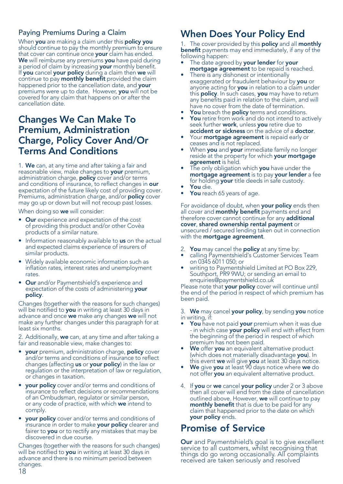### Paying Premiums During a Claim

When you are making a claim under this policy you should continue to pay the monthly premium to ensure<br>that cover can continue once **your** claim has ended. We will reimburse any premiums you have paid during a period of claim by increasing your monthly benefit. If you cancel your policy during a claim then we will continue to pay **monthly benefit** provided the claim happened prior to the cancellation date, and your premiums were up to date. However, you will not be covered for any claim that happens on or after the cancellation date.

### Changes We Can Make To Premium, Administration Charge, Policy Cover And/Or Terms And Conditions

1. We can, at any time and after taking a fair and reasonable view, make changes to your premium, administration charge, **policy** cover and/or terms and conditions of insurance, to reflect changes in our expectation of the future likely cost of providing cover. Premiums, administration charge, and/or **policy** cover may go up or down but will not recoup past losses.

When doing so we will consider:

- Our experience and expectation of the cost of providing this product and/or other Covèa products of a similar nature.
- Information reasonably available to us on the actual and expected claims experience of insurers of similar products.
- Widely available economic information such as inflation rates, interest rates and unemployment rates.
- **Our** and/or Paymentshield's experience and expectation of the costs of administering your policy.

Changes (together with the reasons for such changes) will be notified to you in writing at least 30 days in advance and once **we** make any changes **we** will not<br>make any further changes under this paragraph for at least six months.

2. Additionally, we can, at any time and after taking a fair and reasonable view, make changes to:

- your premium, administration charge, policy cover and/or terms and conditions of insurance to reflect changes (affecting us or your policy) in the law or regulation or the interpretation of law or regulation, or changes in taxation.
- **vour policy** cover and/or terms and conditions of insurance to reflect decisions or recommendations of an Ombudsman, regulator or similar person, or any code of practice, with which we intend to comply.
- your policy cover and/or terms and conditions of insurance in order to make your policy clearer and fairer to you or to rectify any mistakes that may be discovered in due course.

Changes (together with the reasons for such changes) will be notified to you in writing at least 30 days in advance and there is no minimum period between changes. 18

# When Does Your Policy End

1. The cover provided by this **policy** and all **monthly** benefit payments may end immediately, if any of the following happen:

- The date agreed by your lender for your mortgage agreement to be repaid is reached.
- There is any dishonest or intentionally exaggerated or fraudulent behaviour by you or anyone acting for you in relation to a claim under this policy. In such cases, you may have to return any benefits paid in relation to the claim, and will have no cover from the date of termination.
- You breach the policy terms and conditions.
- You retire from work and do not intend to actively seek further work, unless you retire due to accident or sickness on the advice of a doctor.
- Your **mortgage agreement** is repaid early or ceases and is not replaced.
- When you and your immediate family no longer reside at the property for which your mortgage agreement is held.
- The only obligation which you have under the mortgage agreement is to pay your lender a fee for holding your title deeds in safe custody.
- You die.
- You reach 65 years of age.

For avoidance of doubt, when **your policy** ends then all cover and **monthly benefit** payments end and therefore cover cannot continue for any additional cover, shared ownership rental payment or unsecured / secured lending taken out in connection with the **mortgage agreement**.

- 2. You may cancel the policy at any time by:
- calling Paymentshield's Customer Services Team on 0345 6011 050; or
- writing to Paymentshield Limited at PO Box 229, Southport, PR9 9WU; or sending an email to enquiries@paymentshield.co.uk

Please note that your policy cover will continue until the end of the period in respect of which premium has been paid.

3. We may cancel your policy, by sending you notice in writing, if:

- You have not paid your premium when it was due - in which case **your policy** will end with effect from the beginning of the period in respect of which premium has not been paid.
- We offer you an equivalent alternative product (which does not materially disadvantage you). In
- this event we will give you at least 30 days notice. We give you at least 90 days notice where we do not offer you an equivalent alternative product.
- 4. If you or we cancel your policy under 2 or 3 above then all cover will end from the date of cancellation outlined above. However, we will continue to pay monthly benefit that is due to be paid for any claim that happened prior to the date on which your policy ends.

# Promise of Service

**Our** and Paymentshield's goal is to give excellent service to all customers, whilst recognising that things do go wrong occasionally. All complaints received are taken seriously and resolved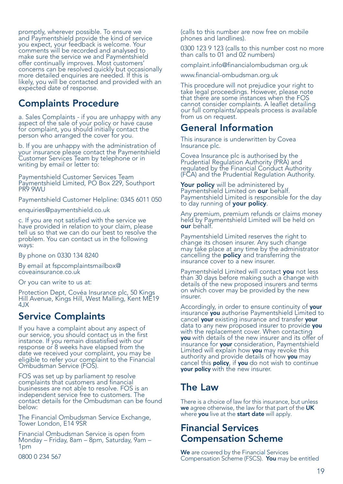promptly, wherever possible. To ensure we and Paymentshield provide the kind of service you expect, your feedback is welcome. Your comments will be recorded and analysed to make sure the service we and Paymentshield offer continually improves. Most customers' concerns can be resolved quickly but occasionally more detailed enquiries are needed. If this is likely, you will be contacted and provided with an expected date of response.

# Complaints Procedure

a. Sales Complaints - if you are unhappy with any aspect of the sale of your policy or have cause for complaint, you should initially contact the person who arranged the cover for you.

b. If you are unhappy with the administration of your insurance please contact the Paymentshield Customer Services Team by telephone or in writing by email or letter to:

Paymentshield Customer Services Team Paymentshield Limited, PO Box 229, Southport PR9 9WU

Paymentshield Customer Helpline: 0345 6011 050

enquiries@paymentshield.co.uk

c. If you are not satisfied with the service we have provided in relation to your claim, please tell us so that we can do our best to resolve the problem. You can contact us in the following ways:

By phone on 0330 134 8240

By email at fspcomplaintsmailbox@ coveainsurance.co.uk

Or you can write to us at:

Protection Dept, Covéa Insurance plc, 50 Kings Hill Avenue, Kings Hill, West Malling, Kent ME19 4JX

### Service Complaints

If you have a complaint about any aspect of our service, you should contact us in the first instance. If you remain dissatisfied with our response or 8 weeks have elapsed from the date we received your complaint, you may be eligible to refer your complaint to the Financial Ombudsman Service (FOS).

FOS was set up by parliament to resolve complaints that customers and financial businesses are not able to resolve. FOS is an independent service free to customers. The contact details for the Ombudsman can be found below:

The Financial Ombudsman Service Exchange, Tower London, E14 9SR

Financial Ombudsman Service is open from Monday – Friday, 8am – 8pm, Saturday, 9am – 1pm

0800 0 234 567

(calls to this number are now free on mobile phones and landlines).

0300 123 9 123 (calls to this number cost no more than calls to 01 and 02 numbers)

complaint.info@financialombudsman org.uk

www.financial-ombudsman.org.uk

This procedure will not prejudice your right to take legal proceedings. However, please note that there are some instances when the FOS cannot consider complaints. A leaflet detailing our full complaints/appeals process is available from us on request.

### General Information

This insurance is underwritten by Covea Insurance plc.

Covea Insurance plc is authorised by the Prudential Regulation Authority (PRA) and regulated by the Financial Conduct Authority (FCA) and the Prudential Regulation Authority.

Your policy will be administered by<br>Paymentshield Limited on our behalf. Paymentshield Limited is responsible for the day to day running of your policy.

Any premium, premium refunds or claims money held by Paymentshield Limited will be held on our behalf.

Paymentshield Limited reserves the right to change its chosen insurer. Any such change may take place at any time by the administrator cancelling the **policy** and transferring the insurance cover to a new insurer.

Paymentshield Limited will contact you not less than 30 days before making such a change with details of the new proposed insurers and terms on which cover may be provided by the new insurer.

Accordingly, in order to ensure continuity of **your**  insurance **you** authorise Paymentshield Limited to cancel **your** existing insurance and transfer **your**  data to any new proposed insurer to provide **you**  with the replacement cover. When contacting **you** with details of the new insurer and its offer of<br>insurance for **your** consideration, Paymentshield<br>Limited will explain how **you** may revoke this<br>authority and provide details of how **you** may<br>cancel this **policy**, i **your policy** with the new insurer.

# The Law

There is a choice of law for this insurance, but unless we agree otherwise, the law for that part of the UK where you live at the start date will apply.

### Financial Services Compensation Scheme

We are covered by the Financial Services Compensation Scheme (FSCS). You may be entitled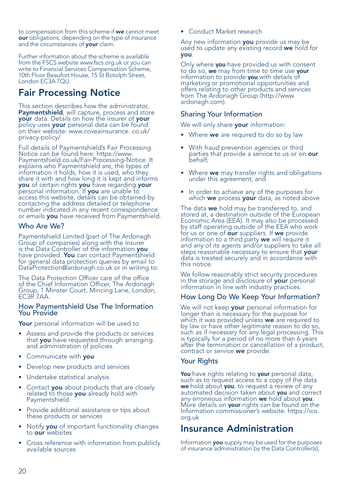to compensation from this scheme if we cannot meet our obligations, depending on the type of insurance and the circumstances of your claim.

Further information about the scheme is available from the FSCS website www.fscs.org.uk or you can write to Financial Services Compensation Scheme, 10th Floor Beaufort House, 15 St Botolph Street, London EC3A 7QU.

# Fair Processing Notice

This section describes how the administrator, **Paymentshield**, will capture, process and store **your** data. Details on how the insurer of **your** policy uses your personal data can be found<br>on their website: www.coveainsurance. co.uk/ privacy-policy/

Full details of Paymentshield's Fair Processing Notice can be found here: https://www. Paymentshield.co.uk/Fair-Processing-Notice. It explains who Paymentshield are, the types of information it holds, how it is used, who they share it with and how long it is kept and informs<br>**you** of certain rights **you** have regarding **your** personal information. If you are unable to access this website, details can be obtained by contacting the address detailed or telephone number indicated in any recent correspondence or emails you have received from Paymentshield.

### Who Are We?

Paymentshield Limited (part of The Ardonagh Group of companies) along with the insurer<br>is the Data Controller of the information **you** have provided. You can contact Paymentshield<br>for general data protection queries by email to DataProtection@ardonagh.co.uk or in writing to:

The Data Protection Officer care of the office of the Chief Information Officer, The Ardonagh Group, 1 Minster Court, Mincing Lane, London,<br>EC3R 7AA.

# How Paymentshield Use The Information You Provide

Your personal information will be used to

- Assess and provide the products or services that **you** have requested through arranging<br>and administration of policies
- Communicate with you
- Develop new products and services
- Undertake statistical analysis
- Contact **you** about products that are closely<br>related to those **you** already hold with<br>Paymentshield
- Provide additional assistance or tips about these products or services
- Notify you of important functionality changes to our websites
- Cross reference with information from publicly available sources

• Conduct Market research

Any new information **you** provide us may be<br>used to update any existing record **we** hold for you.

Only where **you** have provided us with consent to do so, **we** may from time to time use **your**  information to provide **you** with details of marketing or promotional opportunities and offers relating to other products and services from The Ardonagh Group (http://www. ardonagh.com).

### Sharing Your Information

We will only share your information:

- Where we are required to do so by law
- With fraud prevention agencies or third parties that provide a service to us or on **our**<br>behalf:
- Where we may transfer rights and obligations under this agreement; and
- In order to achieve any of the purposes for which we process your data, as noted above

The data **we** hold may be transferred to, and<br>stored at, a destination outside of the European Economic Area (EEA). It may also be processed by staff operating outside of the EEA who work<br>for us or one of **our** suppliers. If we provide information to a third party we will require it and any of its agents and/or suppliers to take all steps reasonable necessary to ensure that **your**<br>data is treated securely and in accordance with this notice.

We follow reasonably strict security procedures in the storage and disclosure of your personal information in line with industry practices.

### How Long Do We Keep Your Information?

We will not keep **your** personal information for<br>longer than is necessary for the purpose for<br>which it was provided unless **we** are required to by law or have other legitimate reason to do so, such as if necessary for any legal processing. This is typically for a period of no more than 6 years after the termination or cancellation of a product, contract or service we provide.

### Your Rights

**You** have rights relating to **your** personal data,<br>such as to request access to a copy of the data<br>**we** hold about **you**, to request a review of any automated decision taken about **you** and correct any erroneous information we hold about **you**. More details on **your** rights can be found on the Information commissioner's website: https://ico. org.uk

### Insurance Administration

Information you supply may be used for the purposes of insurance administration by the Data Controller(s),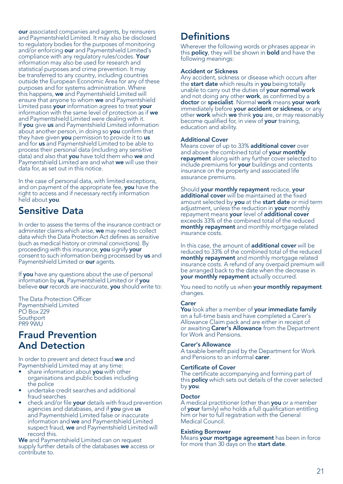our associated companies and agents, by reinsurers and Paymentshield Limited. It may also be disclosed to regulatory bodies for the purposes of monitoring and/or enforcing our and Paymentshield Limited's compliance with any regulatory rules/codes. Your information may also be used for research and statistical purposes and crime prevention. It may be transferred to any country, including countries outside the European Economic Area for any of these purposes and for systems administration. Where this happens, we and Paymentshield Limited will ensure that anyone to whom we and Paymentshield Limited pass your information agrees to treat your information with the same level of protection as if we and Paymentshield Limited were dealing with it. If you give us and Paymentshield Limited information about another person, in doing so you confirm that they have given you permission to provide it to us and for us and Paymentshield Limited to be able to process their personal data (including any sensitive data) and also that **you** have told them who we and Paymentshield Limited are and what we will use their data for, as set out in this notice.

In the case of personal data, with limited exceptions, and on payment of the appropriate fee, you have the right to access and if necessary rectify information held about you.

# Sensitive Data

In order to assess the terms of the insurance contract or administer claims which arise, we may need to collect data which the Data Protection Act defines as sensitive (such as medical history or criminal convictions). By proceeding with this insurance, you signify your consent to such information being processed by us and Paymentshield Limited or our agents.

If **vou** have any questions about the use of personal information by us, Paymentshield Limited or if you believe our records are inaccurate, you should write to:

The Data Protection Officer Paymentshield Limited PO Box 229 Southport PR9 9MI

### Fraud Prevention And Detection

In order to prevent and detect fraud we and Paymentshield Limited may at any time:

- share information about you with other organisations and public bodies including the police
- undertake credit searches and additional fraud searches
- check and/or file your details with fraud prevention agencies and databases, and if you give us and Paymentshield Limited false or inaccurate information and we and Paymentshield Limited suspect fraud, we and Paymentshield Limited will record this.

We and Paymentshield Limited can on request supply further details of the databases we access or contribute to.

# **Definitions**

Wherever the following words or phrases appear in this **policy**, they will be shown in **bold** and have the following meanings:

### Accident or Sickness

Any accident, sickness or disease which occurs after the **start date** which results in **you** being totally<br>unable to carry out the duties of **your normal work**<br>and not doing any other **work**, as confirmed by a doctor or specialist. Normal work means your work immediately before your accident or sickness, or any other work which we think you are, or may reasonably become qualified for, in view of your training, education and ability.

### Additional Cover

Means cover of up to 33% additional cover over and above the combined total of your monthly repayment along with any further cover selected to include premiums for your buildings and contents insurance on the property and associated life assurance premiums.

Should your monthly repayment reduce, your additional cover will be maintained at the fixed amount selected by you at the start date or mid term adjustment, unless the reduction in **your** monthly<br>repayment means **your** level of **additional cover** exceeds 33% of the combined total of the reduced monthly repayment and monthly mortgage related insurance costs.

In this case, the amount of additional cover will be reduced to 33% of the combined total of the reduced monthly repayment and monthly mortgage related insurance costs. A refund of any overpaid premium will be arranged back to the date when the decrease in your monthly repayment actually occurred.

You need to notify us when your monthly repayment changes.

### Carer

You look after a member of your immediate family on a full-time basis and have completed a Carer's Allowance Claim pack and are either in receipt of or awaiting Carer's Allowance from the Department for Work and Pensions.

### Carer's Allowance

A taxable benefit paid by the Department for Work and Pensions to an informal **carer**.

### Certificate of Cover

The certificate accompanying and forming part of this **policy** which sets out details of the cover selected by you.

#### Doctor

A medical practitioner (other than you or a member of your family) who holds a full qualification entitling him or her to full registration with the General Medical Council.

### Existing Borrower

Means your mortgage agreement has been in force for more than 30 days on the start date.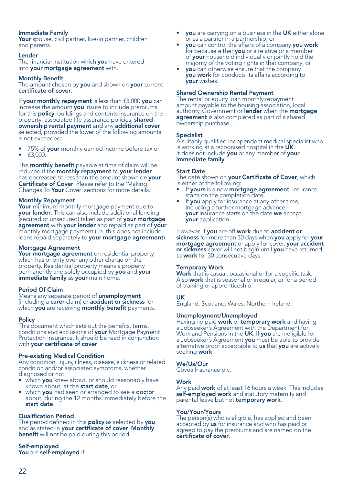### Immediate Family

Your spouse, civil partner, live-in partner, children and parents.

### Lender

The financial institution which you have entered into your mortgage agreement with.

### Monthly Benefit

The amount chosen by you and shown on your current certificate of cover.

If your monthly repayment is less than £3,000 you can increase the amount **you** insure to include premiums for this **policy**, buildings and contents insurance on the property, associated life assurance policies, **shared**<br>**ownership rental payment** and any **additional cover**<br>selected, provided the lower of the following amounts is not exceeded:

- 75% of your monthly earned income before tax or • £3,000.
- 

The **monthly benefit** payable at time of claim will be reduced if the monthly repayment to your lender has decreased to less than the amount shown on your Certificate of Cover. Please refer to the 'Making Changes To Your Cover' sections for more details.

### Monthly Repayment

Your minimum monthly mortgage payment due to your lender. This can also include additional lending (secured or unsecured) taken as part of your mortgage agreement with your lender and repaid as part of your monthly mortgage payment (i.e. this does not include loans repaid separately to your mortgage agreement).

### Mortgage Agreement

Your mortgage agreement on residential property, which has priority over any other charge on the property. Residential property means a property<br>permanently and solely occupied by you and your immediate family as your main home.

Period Of Claim<br>Means any separate period of unemployment (including a carer claim) or accident or sickness for which you are receiving monthly benefit payments.

### **Policy**

This document which sets out the benefits, terms,<br>conditions and exclusions of your Mortgage Payment Protection Insurance. It should be read in conjunction with your certificate of cover.

#### Pre-existing Medical Condition

Any condition, injury, illness, disease, sickness or related condition and/or associated symptoms, whether

- diagnosed or not:<br>• which **you** knew about, or should reasonably have
- **known about, at the start date, or which you had seen or arranged to see a doctor** about, during the 12 months immediately before the start date.

Qualification Period<br>The period defined in this policy as selected by you and as stated in your certificate of cover. Monthly benefit will not be paid during this period.

Self-employed You are self-employed if:

- you are carrying on a business in the UK either alone<br>or as a partner in a partnership; or
- you can control the affairs of a company you work for because either you or a relative or a member<br>of your household individually or jointly hold the majority of the voting rights in that company; or **vou** can otherwise ensure that the company
- you work for conducts its affairs according to your wishes.

### Shared Ownership Rental Payment

The rental or equity loan monthly repayment amount payable to the housing association, local authority, Government or **lender** when the **mortgage agreement** is also completed as part of a shared ownership purchase.

### Specialist

A suitably qualified independent medical specialist who<br>is working at a recognised hospital in the UK. It does not include you or any member of your<br>immediate family.

### Start Date

The date shown on **vour Certificate of Cover**, which is either of the following:

- If yours is a new mortgage agreement, insurance starts on the completion date.
- If you apply for insurance at any other time, including a further mortgage advance, **your** insurance starts on the date we accept **vour** application.

However, if you are off work due to accident or<br>sickness for more than 30 days when you apply for your<br>mortgage agreement or apply for cover, your accident or sickness cover will not begin until you have returned to work for 30 consecutive days.

### Temporary Work

Work that is casual, occasional or for a specific task. Also **work** that is seasonal or irregular, or for a period of training or apprenticeship.

### UK

England, Scotland, Wales, Northern Ireland.

Unemployment/Unemployed<br>Having no paid work or temporary work and having a Jobseeker's Agreement with the Department for<br>Work and Pensions in the UK. If you are ineligible for a Jobseeker's Agreement you must be able to provide<br>alternative proof acceptable to us that you are actively<br>seeking work.

### We/Us/Our

Covea Insurance plc.

### Work

Any paid work of at least 16 hours a week. This includes self-employed work and statutory maternity and<br>parental leave but not temporary work.

#### You/Your/Yours

The person(s) who is eligible, has applied and been accepted by **us** for insurance and who has paid or agreed to pay the premiums and are named on the certificate of cover.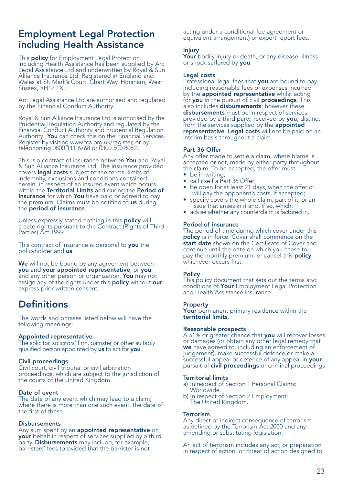### Employment Legal Protection including Health Assistance

This **policy** for Employment Legal Protection<br>including Health Assistance has been supplied by Arc Legal Assistance Ltd and underwritten by Royal & Sun Alliance Insurance Ltd. Registered in England and Wales at St. Mark's Court, Chart Way, Horsham, West Sussex, RH12 1XL.

Arc Legal Assistance Ltd are authorised and regulated by the Financial Conduct Authority.

Royal & Sun Alliance Insurance Ltd is authorised by the Prudential Regulation Authority and regulated by the Financial Conduct Authority and Prudential Regulation Authority. You can check this on the Financial Services Register by visiting www.fca.org.uk/register, or by telephoning 0800 111 6768 or 0300 500 8082.

This is a contract of insurance between **You** and Royal & Sun Alliance Insurance Ltd. The insurance provided covers **legal costs** subject to the terms, limits of indemnity, exclusions and conditions contained herein, in respect of an insured event which occurs within the Territorial Limits and during the Period of Insurance for which You have paid or agreed to pay the premium. Claims must be notified to us during the period of insurance.

Unless expressly stated nothing in this policy will create rights pursuant to the Contract (Rights of Third Parties) Act 1999.

This contract of insurance is personal to you the policyholder and us.

We will not be bound by any agreement between you and your appointed representative, or you and any other person or organization. You may not assign any of the rights under this **policy** without our express prior written consent.

### **Definitions**

The words and phrases listed below will have the following meanings:

#### Appointed representative

The solicitor, solicitors' firm, barrister or other suitably qualified person appointed by us to act for you.

#### Civil proceedings

Civil court, civil tribunal or civil arbitration proceedings, which are subject to the jurisdiction of the courts of the United Kingdom.

### Date of event

The date of any event which may lead to a claim; where there is more than one such event, the date of the first of these.

#### **Disbursements**

Any sum spent by an **appointed representative** on your behalf in respect of services supplied by a third party. **Disbursements** may include, for example,<br>barristers' fees (provided that the barrister is not

acting under a conditional fee agreement or equivalent arrangement) or expert report fees.

### Injury

Your bodily injury or death, or any disease, illness or shock suffered by **you**.

#### Legal costs

Professional legal fees that you are bound to pay, including reasonable fees or expenses incurred by the appointed representative whilst acting for you in the pursuit of civil proceedings. This also includes disbursements; however these disbursements must be in respect of services provided by a third party, received by you, distinct from the services supplied by the appointed representative. Legal costs will not be paid on an interim basis throughout a claim.

### Part 36 Offer

Any offer made to settle a claim, where blame is accepted or not, made by either party throughout the claim. To be accepted, the offer must:

- be in writing;
- call itself a Part 36 Offer;
- be open for at least 21 days, when the offer or will pay the opponent's costs, if accepted;
- specify covers the whole claim, part of it, or an issue that arises in it and, if so, which:
- advise whether any counterclaim is factored in.

### Period of insurance

The period of time during which cover under this policy is in force. Cover shall commence on the start date shown on the Certificate of Cover and continue until the date on which you cease to pay the monthly premium, or cancel this **policy**, whichever occurs first.

#### **Policy**

This policy document that sets out the terms and conditions of Your Employment Legal Protection and Health Assistance insurance.

#### Property

Your permanent primary residence within the territorial limits.

### Reasonable prospects

A 51% or greater chance that you will recover losses or damages (or obtain any other legal remedy that we have agreed to, including an enforcement of judgement), make successful defence or make a<br>successful appeal or defence of any appeal in **your** pursuit of **civil proceedings** or criminal proceedings

### Territorial limits

- a) In respect of Section 1 Personal Claims: Worldwide.
- b) In respect of Section 2 Employment: The United Kingdom.

#### **Terrorism**

Any direct or indirect consequence of terrorism as defined by the Terrorism Act 2000 and any amending or substituting legislation.

An act of terrorism includes any act, or preparation in respect of action, or threat of action designed to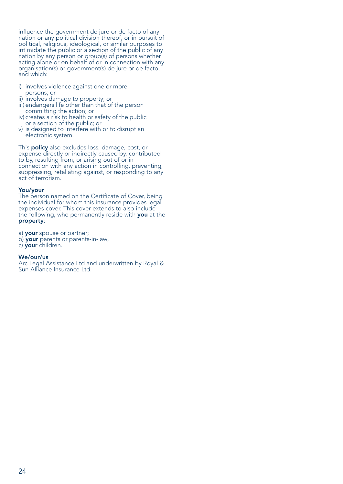influence the government de jure or de facto of any nation or any political division thereof, or in pursuit of political, religious, ideological, or similar purposes to intimidate the public or a section of the public of any nation by any person or group(s) of persons whether acting alone or on behalf of or in connection with any organisation(s) or government(s) de jure or de facto, and which:

- i) involves violence against one or more persons; or
- ii) involves damage to property; or
- iii) endangers life other than that of the person committing the action; or
- iv) creates a risk to health or safety of the public or a section of the public; or
- v) is designed to interfere with or to disrupt an electronic system.

This **policy** also excludes loss, damage, cost, or expense directly or indirectly caused by, contributed to by, resulting from, or arising out of or in connection with any action in controlling, preventing, suppressing, retaliating against, or responding to any act of terrorism.

### You/your

The person named on the Certificate of Cover, being the individual for whom this insurance provides legal expenses cover. This cover extends to also include the following, who permanently reside with **you** at the property:

a) your spouse or partner;

- b) your parents or parents-in-law;
- c) your children.

### We/our/us

Arc Legal Assistance Ltd and underwritten by Royal & Sun Alliance Insurance Ltd.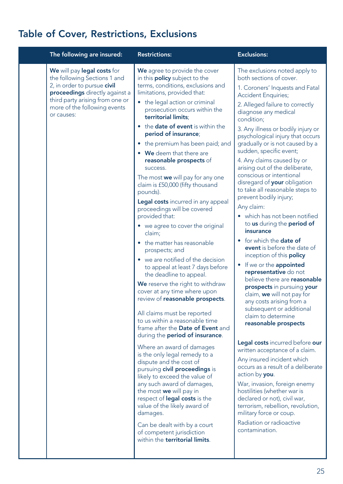# Table of Cover, Restrictions, Exclusions

| The following are insured:                                                                                                                                                                                    | <b>Restrictions:</b>                                                                                                                                                                                                                                                                                                                                                                                                                                                                                                                                                                                                                                                                                                                                                                                                                                                                                                                                                                                                                                                                                                                                                                                                                                                                                                                                                                                                                               | <b>Exclusions:</b>                                                                                                                                                                                                                                                                                                                                                                                                                                                                                                                                                                                                                                                                                                                                                                                                                                                                                                                                                                                                                                                                                                                                                                                                                                                                                                                                                      |
|---------------------------------------------------------------------------------------------------------------------------------------------------------------------------------------------------------------|----------------------------------------------------------------------------------------------------------------------------------------------------------------------------------------------------------------------------------------------------------------------------------------------------------------------------------------------------------------------------------------------------------------------------------------------------------------------------------------------------------------------------------------------------------------------------------------------------------------------------------------------------------------------------------------------------------------------------------------------------------------------------------------------------------------------------------------------------------------------------------------------------------------------------------------------------------------------------------------------------------------------------------------------------------------------------------------------------------------------------------------------------------------------------------------------------------------------------------------------------------------------------------------------------------------------------------------------------------------------------------------------------------------------------------------------------|-------------------------------------------------------------------------------------------------------------------------------------------------------------------------------------------------------------------------------------------------------------------------------------------------------------------------------------------------------------------------------------------------------------------------------------------------------------------------------------------------------------------------------------------------------------------------------------------------------------------------------------------------------------------------------------------------------------------------------------------------------------------------------------------------------------------------------------------------------------------------------------------------------------------------------------------------------------------------------------------------------------------------------------------------------------------------------------------------------------------------------------------------------------------------------------------------------------------------------------------------------------------------------------------------------------------------------------------------------------------------|
| We will pay legal costs for<br>the following Sections 1 and<br>2, in order to pursue civil<br>proceedings directly against a<br>third party arising from one or<br>more of the following events<br>or causes: | We agree to provide the cover<br>in this <b>policy</b> subject to the<br>terms, conditions, exclusions and<br>limitations, provided that:<br>the legal action or criminal<br>prosecution occurs within the<br>territorial limits:<br>• the date of event is within the<br>period of insurance;<br>• the premium has been paid; and<br>• We deem that there are<br>reasonable prospects of<br>success.<br>The most we will pay for any one<br>claim is £50,000 (fifty thousand<br>pounds).<br>Legal costs incurred in any appeal<br>proceedings will be covered<br>provided that:<br>• we agree to cover the original<br>claim;<br>• the matter has reasonable<br>prospects; and<br>• we are notified of the decision<br>to appeal at least 7 days before<br>the deadline to appeal.<br>We reserve the right to withdraw<br>cover at any time where upon<br>review of reasonable prospects.<br>All claims must be reported<br>to us within a reasonable time<br>frame after the Date of Event and<br>during the <b>period of insurance</b> .<br>Where an award of damages<br>is the only legal remedy to a<br>dispute and the cost of<br>pursuing civil proceedings is<br>likely to exceed the value of<br>any such award of damages,<br>the most we will pay in<br>respect of <b>legal costs</b> is the<br>value of the likely award of<br>damages.<br>Can be dealt with by a court<br>of competent jurisdiction<br>within the territorial limits. | The exclusions noted apply to<br>both sections of cover.<br>1. Coroners' Inquests and Fatal<br><b>Accident Enquiries;</b><br>2. Alleged failure to correctly<br>diagnose any medical<br>condition;<br>3. Any illness or bodily injury or<br>psychological injury that occurs<br>gradually or is not caused by a<br>sudden, specific event;<br>4. Any claims caused by or<br>arising out of the deliberate,<br>conscious or intentional<br>disregard of your obligation<br>to take all reasonable steps to<br>prevent bodily injury;<br>Any claim:<br>• which has not been notified<br>to us during the period of<br>insurance<br>• for which the <b>date of</b><br>event is before the date of<br>inception of this <b>policy</b><br>• If we or the appointed<br>representative do not<br>believe there are <b>reasonable</b><br>prospects in pursuing your<br>claim, we will not pay for<br>any costs arising from a<br>subsequent or additional<br>claim to determine<br>reasonable prospects<br>Legal costs incurred before our<br>written acceptance of a claim.<br>Any insured incident which<br>occurs as a result of a deliberate<br>action by you.<br>War, invasion, foreign enemy<br>hostilities (whether war is<br>declared or not), civil war,<br>terrorism, rebellion, revolution,<br>military force or coup.<br>Radiation or radioactive<br>contamination. |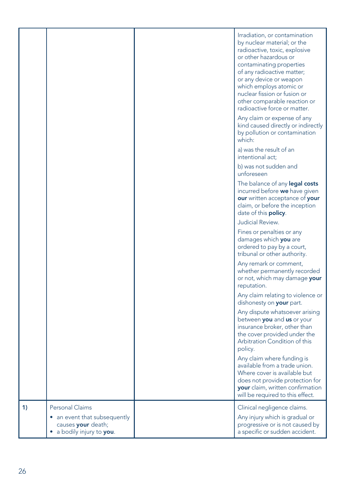|    |                                                                             | Irradiation, or contamination<br>by nuclear material; or the<br>radioactive, toxic, explosive<br>or other hazardous or<br>contaminating properties<br>of any radioactive matter;<br>or any device or weapon<br>which employs atomic or<br>nuclear fission or fusion or<br>other comparable reaction or<br>radioactive force or matter.<br>Any claim or expense of any<br>kind caused directly or indirectly<br>by pollution or contamination |
|----|-----------------------------------------------------------------------------|----------------------------------------------------------------------------------------------------------------------------------------------------------------------------------------------------------------------------------------------------------------------------------------------------------------------------------------------------------------------------------------------------------------------------------------------|
|    |                                                                             | which:<br>a) was the result of an<br>intentional act;                                                                                                                                                                                                                                                                                                                                                                                        |
|    |                                                                             | b) was not sudden and<br>unforeseen                                                                                                                                                                                                                                                                                                                                                                                                          |
|    |                                                                             | The balance of any legal costs<br>incurred before we have given<br>our written acceptance of your<br>claim, or before the inception<br>date of this <b>policy</b> .                                                                                                                                                                                                                                                                          |
|    |                                                                             | Judicial Review.                                                                                                                                                                                                                                                                                                                                                                                                                             |
|    |                                                                             | Fines or penalties or any<br>damages which you are<br>ordered to pay by a court,<br>tribunal or other authority.                                                                                                                                                                                                                                                                                                                             |
|    |                                                                             | Any remark or comment,<br>whether permanently recorded<br>or not, which may damage your<br>reputation.                                                                                                                                                                                                                                                                                                                                       |
|    |                                                                             | Any claim relating to violence or<br>dishonesty on your part.                                                                                                                                                                                                                                                                                                                                                                                |
|    |                                                                             | Any dispute whatsoever arising<br>between you and us or your<br>insurance broker, other than<br>the cover provided under the<br>Arbitration Condition of this<br>policy.                                                                                                                                                                                                                                                                     |
|    |                                                                             | Any claim where funding is<br>available from a trade union.<br>Where cover is available but<br>does not provide protection for<br>your claim, written confirmation<br>will be required to this effect.                                                                                                                                                                                                                                       |
| 1) | <b>Personal Claims</b>                                                      | Clinical negligence claims.                                                                                                                                                                                                                                                                                                                                                                                                                  |
|    | an event that subsequently<br>causes your death;<br>a bodily injury to you. | Any injury which is gradual or<br>progressive or is not caused by<br>a specific or sudden accident.                                                                                                                                                                                                                                                                                                                                          |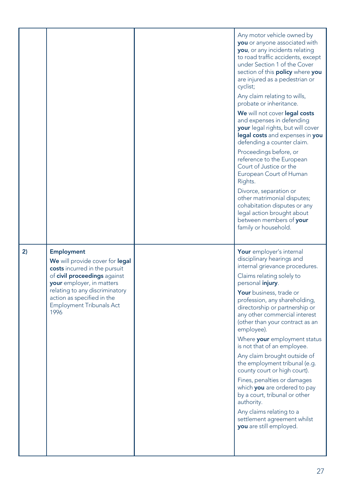|    |                                                                                                                                                                                                                                                               | Any motor vehicle owned by<br>you or anyone associated with<br>you, or any incidents relating<br>to road traffic accidents, except<br>under Section 1 of the Cover<br>section of this policy where you<br>are injured as a pedestrian or<br>cyclist;<br>Any claim relating to wills,<br>probate or inheritance.<br>We will not cover legal costs<br>and expenses in defending<br><b>your</b> legal rights, but will cover<br>legal costs and expenses in you<br>defending a counter claim.<br>Proceedings before, or<br>reference to the European<br>Court of Justice or the<br>European Court of Human<br>Rights.<br>Divorce, separation or<br>other matrimonial disputes;<br>cohabitation disputes or any<br>legal action brought about<br>between members of your<br>family or household. |
|----|---------------------------------------------------------------------------------------------------------------------------------------------------------------------------------------------------------------------------------------------------------------|----------------------------------------------------------------------------------------------------------------------------------------------------------------------------------------------------------------------------------------------------------------------------------------------------------------------------------------------------------------------------------------------------------------------------------------------------------------------------------------------------------------------------------------------------------------------------------------------------------------------------------------------------------------------------------------------------------------------------------------------------------------------------------------------|
| 2) | <b>Employment</b><br>We will provide cover for legal<br>costs incurred in the pursuit<br>of civil proceedings against<br>your employer, in matters<br>relating to any discriminatory<br>action as specified in the<br><b>Employment Tribunals Act</b><br>1996 | Your employer's internal<br>disciplinary hearings and<br>internal grievance procedures.<br>Claims relating solely to<br>personal injury.<br>Your business, trade or<br>profession, any shareholding,<br>directorship or partnership or<br>any other commercial interest<br>(other than your contract as an<br>employee).<br>Where your employment status<br>is not that of an employee.<br>Any claim brought outside of<br>the employment tribunal (e.g.<br>county court or high court).<br>Fines, penalties or damages<br>which <b>you</b> are ordered to pay<br>by a court, tribunal or other<br>authority.<br>Any claims relating to a<br>settlement agreement whilst<br>you are still employed.                                                                                          |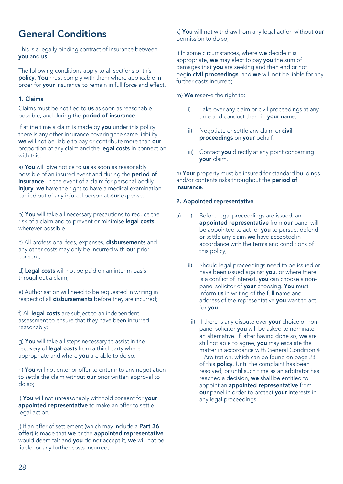# General Conditions

This is a legally binding contract of insurance between you and us.

The following conditions apply to all sections of this policy. You must comply with them where applicable in order for your insurance to remain in full force and effect.

### 1. Claims

Claims must be notified to us as soon as reasonable possible, and during the period of insurance.

If at the time a claim is made by you under this policy there is any other insurance covering the same liability, we will not be liable to pay or contribute more than our proportion of any claim and the **legal costs** in connection with this.

a) You will give notice to us as soon as reasonably possible of an insured event and during the period of insurance. In the event of a claim for personal bodily injury, we have the right to have a medical examination carried out of any injured person at our expense.

b) You will take all necessary precautions to reduce the risk of a claim and to prevent or minimise **legal costs** wherever possible

c) All professional fees, expenses, disbursements and any other costs may only be incurred with our prior consent;

d) Legal costs will not be paid on an interim basis throughout a claim;

e) Authorisation will need to be requested in writing in respect of all **disbursements** before they are incurred;

f) All legal costs are subject to an independent assessment to ensure that they have been incurred reasonably;

g) You will take all steps necessary to assist in the recovery of **legal costs** from a third party where appropriate and where you are able to do so;

h) You will not enter or offer to enter into any negotiation to settle the claim without our prior written approval to do so;

i) You will not unreasonably withhold consent for your appointed representative to make an offer to settle legal action;

j) If an offer of settlement (which may include a Part 36 offer) is made that we or the appointed representative would deem fair and you do not accept it, we will not be liable for any further costs incurred;

k) You will not withdraw from any legal action without our permission to do so;

l) In some circumstances, where we decide it is appropriate, we may elect to pay you the sum of damages that you are seeking and then end or not begin civil proceedings, and we will not be liable for any further costs incurred;

m) We reserve the right to:

- i) Take over any claim or civil proceedings at any time and conduct them in your name;
- ii) Negotiate or settle any claim or civil proceedings on your behalf:
- iii) Contact you directly at any point concerning your claim.

n) Your property must be insured for standard buildings and/or contents risks throughout the period of insurance.

### 2. Appointed representative

- a) i) Before legal proceedings are issued, an appointed representative from our panel will be appointed to act for you to pursue, defend or settle any claim we have accepted in accordance with the terms and conditions of this policy;
	- ii) Should legal proceedings need to be issued or have been issued against you, or where there is a conflict of interest, you can choose a nonpanel solicitor of your choosing. You must inform us in writing of the full name and address of the representative **vou** want to act for you.
	- iii) If there is any dispute over your choice of non panel solicitor you will be asked to nominate an alternative. If, after having done so, we are still not able to agree, you may escalate the matter in accordance with General Condition 4 – Arbitration, which can be found on page 28 of this policy. Until the complaint has been resolved, or until such time as an arbitrator has reached a decision, we shall be entitled to appoint an appointed representative from our panel in order to protect your interests in any legal proceedings.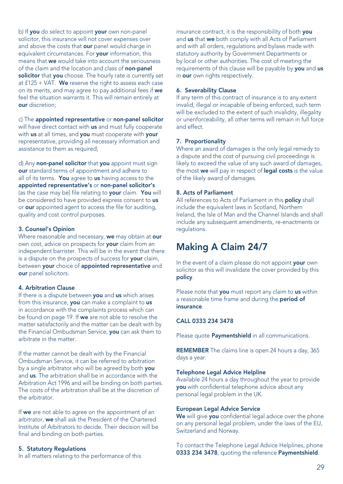b) If you do select to appoint your own non-panel solicitor, this insurance will not cover expenses over and above the costs that **our** panel would charge in equivalent circumstances. For **your** information, this means that we would take into account the seriousness of the claim and the location and class of non-panel solicitor that you choose. The hourly rate is currently set at  $f125 + VA$ . We reserve the right to assess each case on its merits, and may agree to pay additional fees if we feel the situation warrants it. This will remain entirely at our discretion;

c) The appointed representative or non-panel solicitor will have direct contact with us and must fully cooperate with us at all times, and you must cooperate with your representative, providing all necessary information and assistance to them as required;

d) Any non-panel solicitor that you appoint must sign our standard terms of appointment and adhere to all of its terms. You agree to us having access to the appointed representative's or non-panel solicitor's (as the case may be) file relating to your claim. You will be considered to have provided express consent to us or our appointed agent to access the file for auditing, quality and cost control purposes.

### 3. Counsel's Opinion

Where reasonable and necessary, we may obtain at our own cost, advice on prospects for your claim from an independent barrister. This will be in the event that there is a dispute on the prospects of success for your claim, between your choice of appointed representative and our panel solicitors.

### 4. Arbitration Clause

If there is a dispute between you and us which arises from this insurance, you can make a complaint to us in accordance with the complaints process which can be found on page 19. If we are not able to resolve the matter satisfactorily and the matter can be dealt with by the Financial Ombudsman Service, you can ask them to arbitrate in the matter.

If the matter cannot be dealt with by the Financial Ombudsman Service, it can be referred to arbitration by a single arbitrator who will be agreed by both you and us. The arbitration shall be in accordance with the Arbitration Act 1996 and will be binding on both parties. The costs of the arbitration shall be at the discretion of the arbitrator.

If we are not able to agree on the appointment of an arbitrator, we shall ask the President of the Chartered Institute of Arbitrators to decide. Their decision will be final and binding on both parties.

### 5. Statutory Regulations

In all matters relating to the performance of this

insurance contract, it is the responsibility of both vou and us that we both comply with all Acts of Parliament and with all orders, regulations and bylaws made with statutory authority by Government Departments or by local or other authorities. The cost of meeting the requirements of this clause will be payable by you and us in our own rights respectively.

### 6. Severability Clause

If any term of this contract of insurance is to any extent invalid, illegal or incapable of being enforced, such term will be excluded to the extent of such invalidity, illegality or unenforceability, all other terms will remain in full force and effect.

### 7. Proportionality

Where an award of damages is the only legal remedy to a dispute and the cost of pursuing civil proceedings is likely to exceed the value of any such award of damages. the most we will pay in respect of legal costs is the value of the likely award of damages.

### 8. Acts of Parliament

All references to Acts of Parliament in this **policy** shall include the equivalent laws in Scotland, Northern Ireland, the Isle of Man and the Channel Islands and shall include any subsequent amendments, re-enactments or **regulations** 

### Making A Claim 24/7

In the event of a claim please do not appoint your own solicitor as this will invalidate the cover provided by this policy.

Please note that you must report any claim to us within a reasonable time frame and during the period of insurance.

### CALL 0333 234 3478

Please quote **Paymentshield** in all communications.

REMEMBER The claims line is open 24 hours a day, 365 days a year.

### Telephone Legal Advice Helpline

Available 24 hours a day throughout the year to provide you with confidential telephone advice about any personal legal problem in the UK.

### European Legal Advice Service

We will give you confidential legal advice over the phone on any personal legal problem, under the laws of the EU, Switzerland and Norway.

To contact the Telephone Legal Advice Helplines, phone 0333 234 3478, quoting the reference Paymentshield.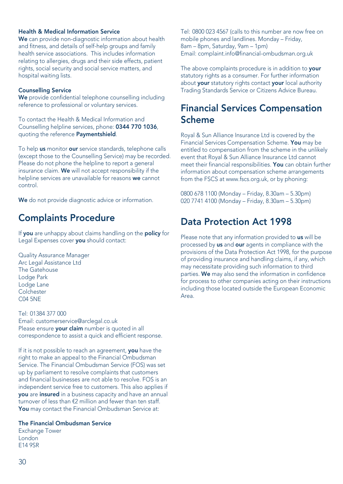### Health & Medical Information Service

We can provide non-diagnostic information about health and fitness, and details of self-help groups and family health service associations. This includes information relating to allergies, drugs and their side effects, patient rights, social security and social service matters, and hospital waiting lists.

### Counselling Service

We provide confidential telephone counselling including reference to professional or voluntary services.

To contact the Health & Medical Information and Counselling helpline services, phone: 0344 770 1036, quoting the reference **Paymentshield**.

To help us monitor our service standards, telephone calls (except those to the Counselling Service) may be recorded. Please do not phone the helpline to report a general insurance claim. We will not accept responsibility if the helpline services are unavailable for reasons we cannot control.

We do not provide diagnostic advice or information.

# Complaints Procedure

If you are unhappy about claims handling on the policy for Legal Expenses cover you should contact:

Quality Assurance Manager Arc Legal Assistance Ltd The Gatehouse Lodge Park Lodge Lane **Colchester** C04 5NE

Tel: 01384 377 000 Email: customerservice@arclegal.co.uk Please ensure your claim number is quoted in all correspondence to assist a quick and efficient response.

If it is not possible to reach an agreement, you have the right to make an appeal to the Financial Ombudsman Service. The Financial Ombudsman Service (FOS) was set up by parliament to resolve complaints that customers and financial businesses are not able to resolve. FOS is an independent service free to customers. This also applies if you are insured in a business capacity and have an annual turnover of less than €2 million and fewer than ten staff. You may contact the Financial Ombudsman Service at:

### The Financial Ombudsman Service

Exchange Tower London E14 9SR

Tel: 0800 023 4567 (calls to this number are now free on mobile phones and landlines. Monday – Friday, 8am – 8pm, Saturday, 9am – 1pm) Email: complaint.info@financial-ombudsman.org.uk

The above complaints procedure is in addition to **vour** statutory rights as a consumer. For further information about **your** statutory rights contact **your** local authority Trading Standards Service or Citizens Advice Bureau.

# Financial Services Compensation Scheme

Royal & Sun Alliance Insurance Ltd is covered by the Financial Services Compensation Scheme. You may be entitled to compensation from the scheme in the unlikely event that Royal & Sun Alliance Insurance Ltd cannot meet their financial responsibilities. You can obtain further information about compensation scheme arrangements from the FSCS at www.fscs.org.uk, or by phoning:

0800 678 1100 (Monday – Friday, 8.30am – 5.30pm) 020 7741 4100 (Monday – Friday, 8.30am – 5.30pm)

# Data Protection Act 1998

Please note that any information provided to us will be processed by us and our agents in compliance with the provisions of the Data Protection Act 1998, for the purpose of providing insurance and handling claims, if any, which may necessitate providing such information to third parties. We may also send the information in confidence for process to other companies acting on their instructions including those located outside the European Economic Area.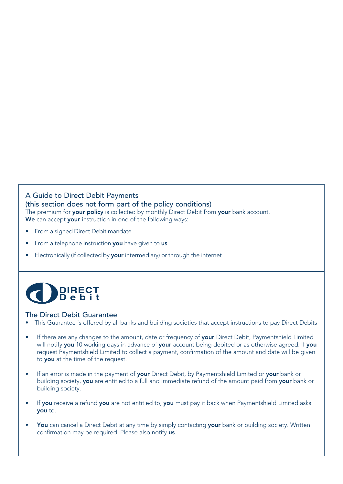### A Guide to Direct Debit Payments (this section does not form part of the policy conditions) The premium for your policy is collected by monthly Direct Debit from your bank account. We can accept your instruction in one of the following ways:

- From a signed Direct Debit mandate
- From a telephone instruction **you** have given to us
- Electronically (if collected by your intermediary) or through the internet



### The Direct Debit Guarantee

- This Guarantee is offered by all banks and building societies that accept instructions to pay Direct Debits
- If there are any changes to the amount, date or frequency of your Direct Debit, Paymentshield Limited will notify you 10 working days in advance of your account being debited or as otherwise agreed. If you request Paymentshield Limited to collect a payment, confirmation of the amount and date will be given to you at the time of the request.
- If an error is made in the payment of your Direct Debit, by Paymentshield Limited or your bank or building society, you are entitled to a full and immediate refund of the amount paid from your bank or building society.
- If you receive a refund you are not entitled to, you must pay it back when Paymentshield Limited asks you to.
- You can cancel a Direct Debit at any time by simply contacting your bank or building society. Written confirmation may be required. Please also notify us.